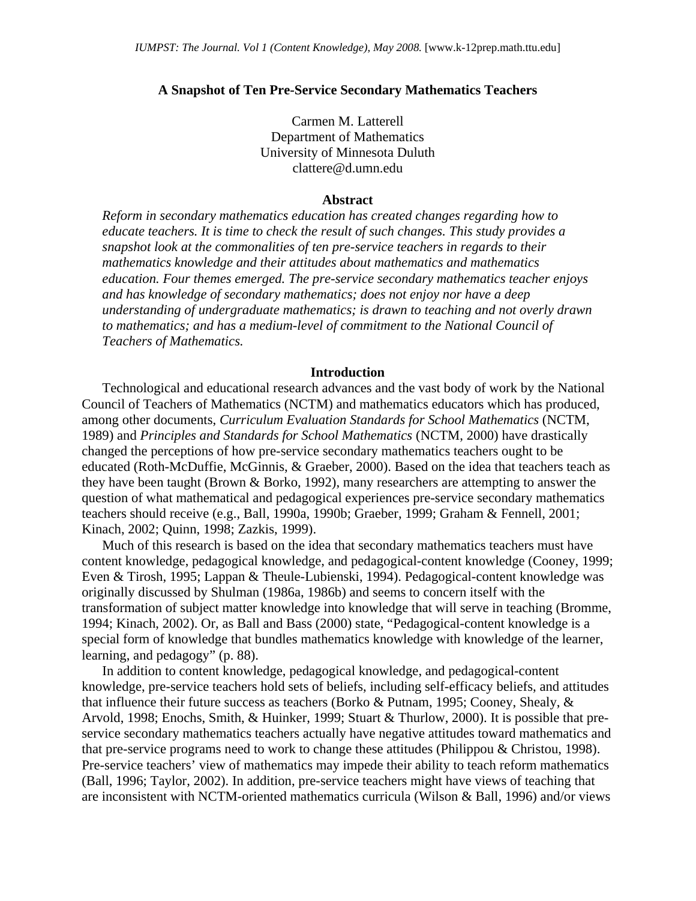#### **A Snapshot of Ten Pre-Service Secondary Mathematics Teachers**

Carmen M. Latterell Department of Mathematics University of Minnesota Duluth clattere@d.umn.edu

#### **Abstract**

*Reform in secondary mathematics education has created changes regarding how to educate teachers. It is time to check the result of such changes. This study provides a snapshot look at the commonalities of ten pre-service teachers in regards to their mathematics knowledge and their attitudes about mathematics and mathematics education. Four themes emerged. The pre-service secondary mathematics teacher enjoys and has knowledge of secondary mathematics; does not enjoy nor have a deep understanding of undergraduate mathematics; is drawn to teaching and not overly drawn to mathematics; and has a medium-level of commitment to the National Council of Teachers of Mathematics.* 

#### **Introduction**

Technological and educational research advances and the vast body of work by the National Council of Teachers of Mathematics (NCTM) and mathematics educators which has produced, among other documents, *Curriculum Evaluation Standards for School Mathematics* (NCTM, 1989) and *Principles and Standards for School Mathematics* (NCTM, 2000) have drastically changed the perceptions of how pre-service secondary mathematics teachers ought to be educated (Roth-McDuffie, McGinnis, & Graeber, 2000). Based on the idea that teachers teach as they have been taught (Brown & Borko, 1992), many researchers are attempting to answer the question of what mathematical and pedagogical experiences pre-service secondary mathematics teachers should receive (e.g., Ball, 1990a, 1990b; Graeber, 1999; Graham & Fennell, 2001; Kinach, 2002; Quinn, 1998; Zazkis, 1999).

Much of this research is based on the idea that secondary mathematics teachers must have content knowledge, pedagogical knowledge, and pedagogical-content knowledge (Cooney, 1999; Even & Tirosh, 1995; Lappan & Theule-Lubienski, 1994). Pedagogical-content knowledge was originally discussed by Shulman (1986a, 1986b) and seems to concern itself with the transformation of subject matter knowledge into knowledge that will serve in teaching (Bromme, 1994; Kinach, 2002). Or, as Ball and Bass (2000) state, "Pedagogical-content knowledge is a special form of knowledge that bundles mathematics knowledge with knowledge of the learner, learning, and pedagogy" (p. 88).

In addition to content knowledge, pedagogical knowledge, and pedagogical-content knowledge, pre-service teachers hold sets of beliefs, including self-efficacy beliefs, and attitudes that influence their future success as teachers (Borko & Putnam, 1995; Cooney, Shealy, & Arvold, 1998; Enochs, Smith, & Huinker, 1999; Stuart & Thurlow, 2000). It is possible that preservice secondary mathematics teachers actually have negative attitudes toward mathematics and that pre-service programs need to work to change these attitudes (Philippou & Christou, 1998). Pre-service teachers' view of mathematics may impede their ability to teach reform mathematics (Ball, 1996; Taylor, 2002). In addition, pre-service teachers might have views of teaching that are inconsistent with NCTM-oriented mathematics curricula (Wilson & Ball, 1996) and/or views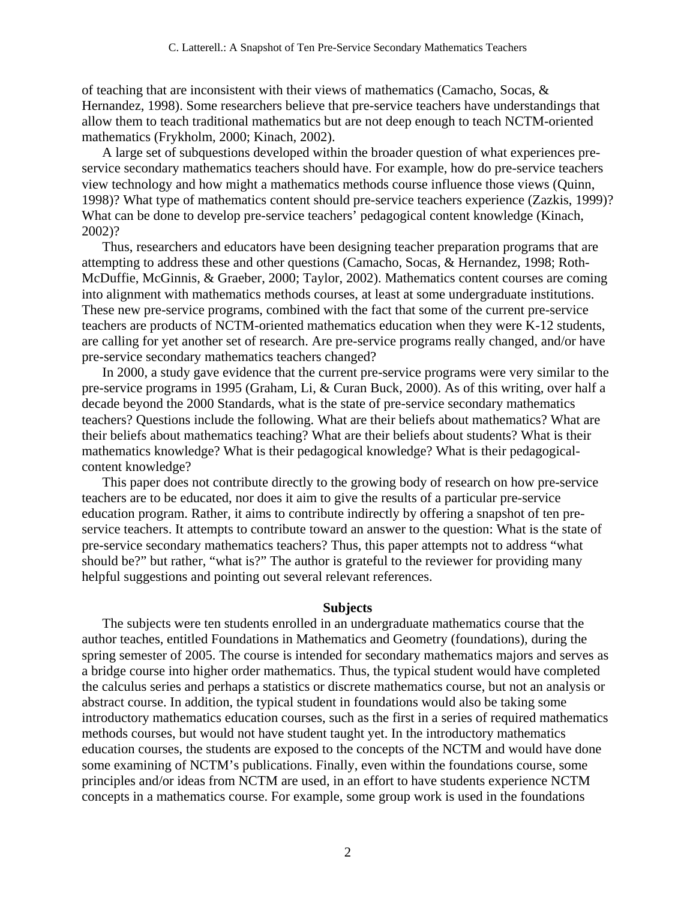of teaching that are inconsistent with their views of mathematics (Camacho, Socas, & Hernandez, 1998). Some researchers believe that pre-service teachers have understandings that allow them to teach traditional mathematics but are not deep enough to teach NCTM-oriented mathematics (Frykholm, 2000; Kinach, 2002).

A large set of subquestions developed within the broader question of what experiences preservice secondary mathematics teachers should have. For example, how do pre-service teachers view technology and how might a mathematics methods course influence those views (Quinn, 1998)? What type of mathematics content should pre-service teachers experience (Zazkis, 1999)? What can be done to develop pre-service teachers' pedagogical content knowledge (Kinach, 2002)?

Thus, researchers and educators have been designing teacher preparation programs that are attempting to address these and other questions (Camacho, Socas, & Hernandez, 1998; Roth-McDuffie, McGinnis, & Graeber, 2000; Taylor, 2002). Mathematics content courses are coming into alignment with mathematics methods courses, at least at some undergraduate institutions. These new pre-service programs, combined with the fact that some of the current pre-service teachers are products of NCTM-oriented mathematics education when they were K-12 students, are calling for yet another set of research. Are pre-service programs really changed, and/or have pre-service secondary mathematics teachers changed?

In 2000, a study gave evidence that the current pre-service programs were very similar to the pre-service programs in 1995 (Graham, Li, & Curan Buck, 2000). As of this writing, over half a decade beyond the 2000 Standards, what is the state of pre-service secondary mathematics teachers? Questions include the following. What are their beliefs about mathematics? What are their beliefs about mathematics teaching? What are their beliefs about students? What is their mathematics knowledge? What is their pedagogical knowledge? What is their pedagogicalcontent knowledge?

This paper does not contribute directly to the growing body of research on how pre-service teachers are to be educated, nor does it aim to give the results of a particular pre-service education program. Rather, it aims to contribute indirectly by offering a snapshot of ten preservice teachers. It attempts to contribute toward an answer to the question: What is the state of pre-service secondary mathematics teachers? Thus, this paper attempts not to address "what should be?" but rather, "what is?" The author is grateful to the reviewer for providing many helpful suggestions and pointing out several relevant references.

#### **Subjects**

The subjects were ten students enrolled in an undergraduate mathematics course that the author teaches, entitled Foundations in Mathematics and Geometry (foundations), during the spring semester of 2005. The course is intended for secondary mathematics majors and serves as a bridge course into higher order mathematics. Thus, the typical student would have completed the calculus series and perhaps a statistics or discrete mathematics course, but not an analysis or abstract course. In addition, the typical student in foundations would also be taking some introductory mathematics education courses, such as the first in a series of required mathematics methods courses, but would not have student taught yet. In the introductory mathematics education courses, the students are exposed to the concepts of the NCTM and would have done some examining of NCTM's publications. Finally, even within the foundations course, some principles and/or ideas from NCTM are used, in an effort to have students experience NCTM concepts in a mathematics course. For example, some group work is used in the foundations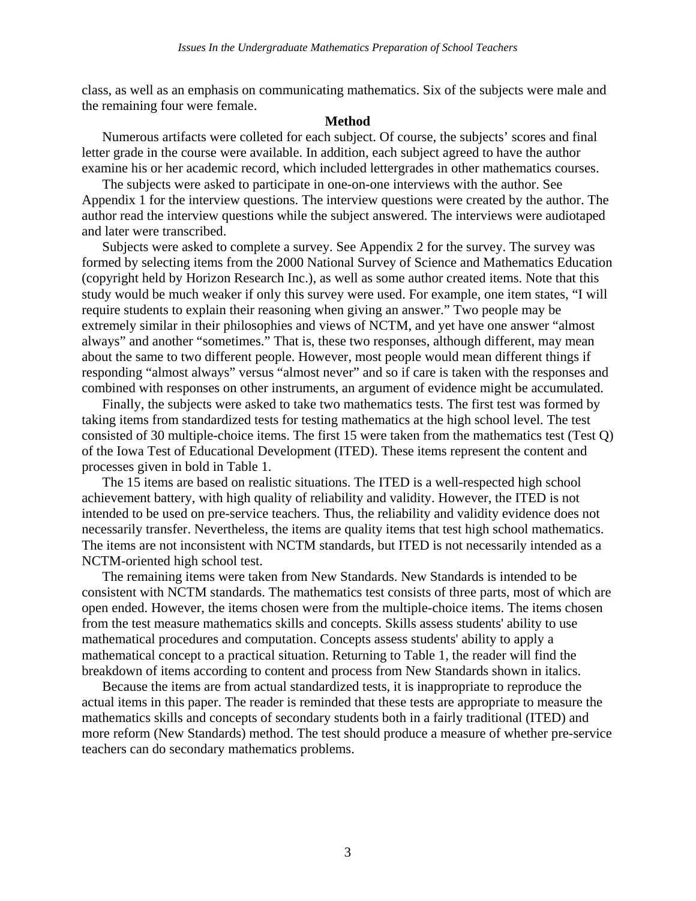class, as well as an emphasis on communicating mathematics. Six of the subjects were male and the remaining four were female.

### **Method**

Numerous artifacts were colleted for each subject. Of course, the subjects' scores and final letter grade in the course were available. In addition, each subject agreed to have the author examine his or her academic record, which included lettergrades in other mathematics courses.

The subjects were asked to participate in one-on-one interviews with the author. See Appendix 1 for the interview questions. The interview questions were created by the author. The author read the interview questions while the subject answered. The interviews were audiotaped and later were transcribed.

Subjects were asked to complete a survey. See Appendix 2 for the survey. The survey was formed by selecting items from the 2000 National Survey of Science and Mathematics Education (copyright held by Horizon Research Inc.), as well as some author created items. Note that this study would be much weaker if only this survey were used. For example, one item states, "I will require students to explain their reasoning when giving an answer." Two people may be extremely similar in their philosophies and views of NCTM, and yet have one answer "almost always" and another "sometimes." That is, these two responses, although different, may mean about the same to two different people. However, most people would mean different things if responding "almost always" versus "almost never" and so if care is taken with the responses and combined with responses on other instruments, an argument of evidence might be accumulated.

Finally, the subjects were asked to take two mathematics tests. The first test was formed by taking items from standardized tests for testing mathematics at the high school level. The test consisted of 30 multiple-choice items. The first 15 were taken from the mathematics test (Test Q) of the Iowa Test of Educational Development (ITED). These items represent the content and processes given in bold in Table 1.

The 15 items are based on realistic situations. The ITED is a well-respected high school achievement battery, with high quality of reliability and validity. However, the ITED is not intended to be used on pre-service teachers. Thus, the reliability and validity evidence does not necessarily transfer. Nevertheless, the items are quality items that test high school mathematics. The items are not inconsistent with NCTM standards, but ITED is not necessarily intended as a NCTM-oriented high school test.

The remaining items were taken from New Standards. New Standards is intended to be consistent with NCTM standards. The mathematics test consists of three parts, most of which are open ended. However, the items chosen were from the multiple-choice items. The items chosen from the test measure mathematics skills and concepts. Skills assess students' ability to use mathematical procedures and computation. Concepts assess students' ability to apply a mathematical concept to a practical situation. Returning to Table 1, the reader will find the breakdown of items according to content and process from New Standards shown in italics.

Because the items are from actual standardized tests, it is inappropriate to reproduce the actual items in this paper. The reader is reminded that these tests are appropriate to measure the mathematics skills and concepts of secondary students both in a fairly traditional (ITED) and more reform (New Standards) method. The test should produce a measure of whether pre-service teachers can do secondary mathematics problems.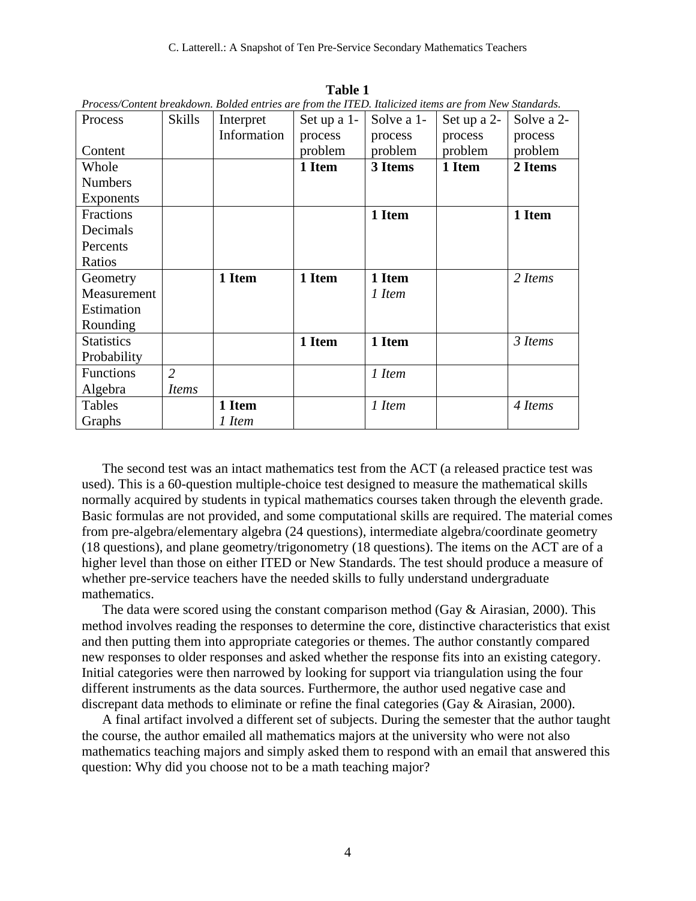| Process           | <b>Skills</b>  | т тоссуу соністі отсикиотт. Doucu стителите ротите 11 LD. нинецей нету ите ротитет униципиз.<br>Interpret | Set up a 1- | Solve a 1- | Set up a 2- | Solve a 2- |
|-------------------|----------------|-----------------------------------------------------------------------------------------------------------|-------------|------------|-------------|------------|
|                   |                | Information                                                                                               | process     | process    | process     | process    |
| Content           |                |                                                                                                           | problem     | problem    | problem     | problem    |
| Whole             |                |                                                                                                           | 1 Item      | 3 Items    | 1 Item      | 2 Items    |
| <b>Numbers</b>    |                |                                                                                                           |             |            |             |            |
| <b>Exponents</b>  |                |                                                                                                           |             |            |             |            |
| Fractions         |                |                                                                                                           |             | 1 Item     |             | 1 Item     |
| Decimals          |                |                                                                                                           |             |            |             |            |
| Percents          |                |                                                                                                           |             |            |             |            |
| Ratios            |                |                                                                                                           |             |            |             |            |
| Geometry          |                | 1 Item                                                                                                    | 1 Item      | 1 Item     |             | 2 Items    |
| Measurement       |                |                                                                                                           |             | 1 Item     |             |            |
| Estimation        |                |                                                                                                           |             |            |             |            |
| Rounding          |                |                                                                                                           |             |            |             |            |
| <b>Statistics</b> |                |                                                                                                           | 1 Item      | 1 Item     |             | 3 Items    |
| Probability       |                |                                                                                                           |             |            |             |            |
| <b>Functions</b>  | $\overline{2}$ |                                                                                                           |             | 1 Item     |             |            |
| Algebra           | <i>Items</i>   |                                                                                                           |             |            |             |            |
| Tables            |                | 1 Item                                                                                                    |             | 1 Item     |             | 4 Items    |
| Graphs            |                | 1 Item                                                                                                    |             |            |             |            |

**Table 1**  *Process/Content breakdown. Bolded entries are from the ITED. Italicized items are from New Standards.* 

The second test was an intact mathematics test from the ACT (a released practice test was used). This is a 60-question multiple-choice test designed to measure the mathematical skills normally acquired by students in typical mathematics courses taken through the eleventh grade. Basic formulas are not provided, and some computational skills are required. The material comes from pre-algebra/elementary algebra (24 questions), intermediate algebra/coordinate geometry (18 questions), and plane geometry/trigonometry (18 questions). The items on the ACT are of a higher level than those on either ITED or New Standards. The test should produce a measure of whether pre-service teachers have the needed skills to fully understand undergraduate mathematics.

The data were scored using the constant comparison method (Gay  $\&$  Airasian, 2000). This method involves reading the responses to determine the core, distinctive characteristics that exist and then putting them into appropriate categories or themes. The author constantly compared new responses to older responses and asked whether the response fits into an existing category. Initial categories were then narrowed by looking for support via triangulation using the four different instruments as the data sources. Furthermore, the author used negative case and discrepant data methods to eliminate or refine the final categories (Gay & Airasian, 2000).

A final artifact involved a different set of subjects. During the semester that the author taught the course, the author emailed all mathematics majors at the university who were not also mathematics teaching majors and simply asked them to respond with an email that answered this question: Why did you choose not to be a math teaching major?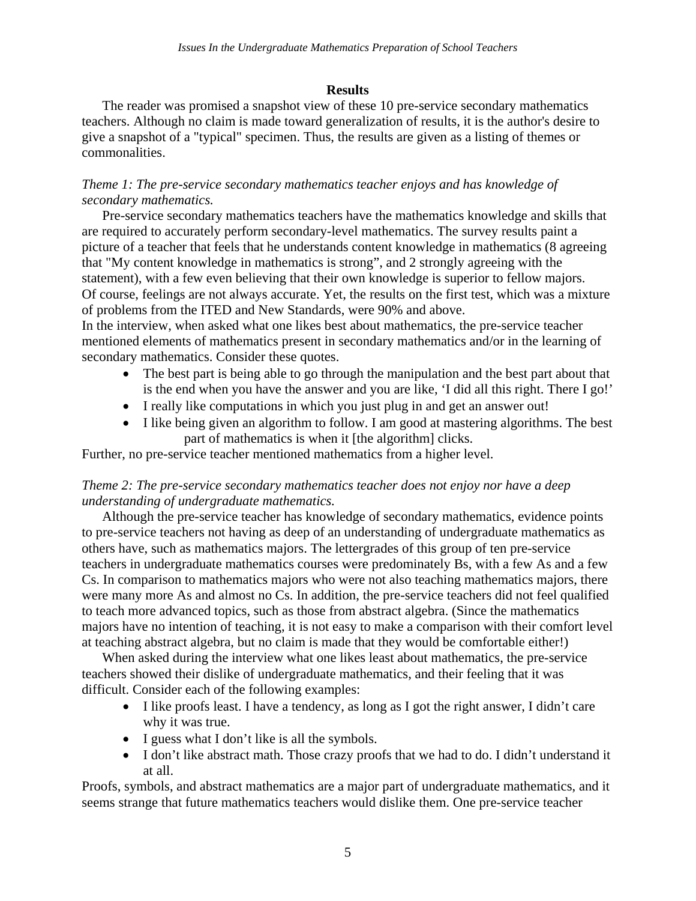# **Results**

The reader was promised a snapshot view of these 10 pre-service secondary mathematics teachers. Although no claim is made toward generalization of results, it is the author's desire to give a snapshot of a "typical" specimen. Thus, the results are given as a listing of themes or commonalities.

# *Theme 1: The pre-service secondary mathematics teacher enjoys and has knowledge of secondary mathematics.*

Pre-service secondary mathematics teachers have the mathematics knowledge and skills that are required to accurately perform secondary-level mathematics. The survey results paint a picture of a teacher that feels that he understands content knowledge in mathematics (8 agreeing that "My content knowledge in mathematics is strong", and 2 strongly agreeing with the statement), with a few even believing that their own knowledge is superior to fellow majors. Of course, feelings are not always accurate. Yet, the results on the first test, which was a mixture of problems from the ITED and New Standards, were 90% and above.

In the interview, when asked what one likes best about mathematics, the pre-service teacher mentioned elements of mathematics present in secondary mathematics and/or in the learning of secondary mathematics. Consider these quotes.

- The best part is being able to go through the manipulation and the best part about that is the end when you have the answer and you are like, 'I did all this right. There I go!'
- I really like computations in which you just plug in and get an answer out!
- I like being given an algorithm to follow. I am good at mastering algorithms. The best part of mathematics is when it [the algorithm] clicks.

Further, no pre-service teacher mentioned mathematics from a higher level.

# *Theme 2: The pre-service secondary mathematics teacher does not enjoy nor have a deep understanding of undergraduate mathematics.*

Although the pre-service teacher has knowledge of secondary mathematics, evidence points to pre-service teachers not having as deep of an understanding of undergraduate mathematics as others have, such as mathematics majors. The lettergrades of this group of ten pre-service teachers in undergraduate mathematics courses were predominately Bs, with a few As and a few Cs. In comparison to mathematics majors who were not also teaching mathematics majors, there were many more As and almost no Cs. In addition, the pre-service teachers did not feel qualified to teach more advanced topics, such as those from abstract algebra. (Since the mathematics majors have no intention of teaching, it is not easy to make a comparison with their comfort level at teaching abstract algebra, but no claim is made that they would be comfortable either!)

When asked during the interview what one likes least about mathematics, the pre-service teachers showed their dislike of undergraduate mathematics, and their feeling that it was difficult. Consider each of the following examples:

- I like proofs least. I have a tendency, as long as I got the right answer, I didn't care why it was true.
- I guess what I don't like is all the symbols.
- I don't like abstract math. Those crazy proofs that we had to do. I didn't understand it at all.

Proofs, symbols, and abstract mathematics are a major part of undergraduate mathematics, and it seems strange that future mathematics teachers would dislike them. One pre-service teacher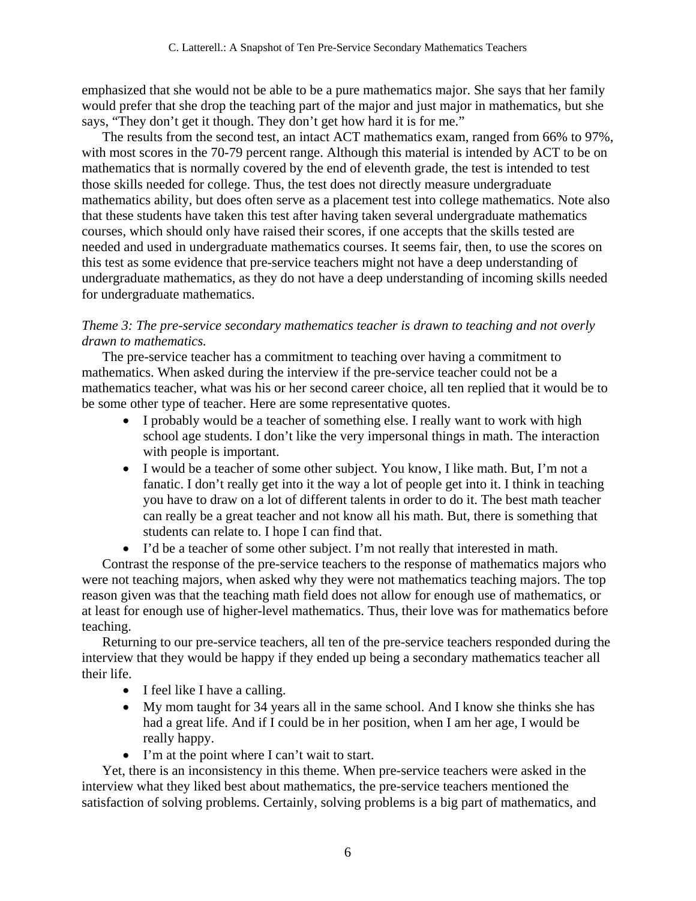emphasized that she would not be able to be a pure mathematics major. She says that her family would prefer that she drop the teaching part of the major and just major in mathematics, but she says, "They don't get it though. They don't get how hard it is for me."

The results from the second test, an intact ACT mathematics exam, ranged from 66% to 97%, with most scores in the 70-79 percent range. Although this material is intended by ACT to be on mathematics that is normally covered by the end of eleventh grade, the test is intended to test those skills needed for college. Thus, the test does not directly measure undergraduate mathematics ability, but does often serve as a placement test into college mathematics. Note also that these students have taken this test after having taken several undergraduate mathematics courses, which should only have raised their scores, if one accepts that the skills tested are needed and used in undergraduate mathematics courses. It seems fair, then, to use the scores on this test as some evidence that pre-service teachers might not have a deep understanding of undergraduate mathematics, as they do not have a deep understanding of incoming skills needed for undergraduate mathematics.

### *Theme 3: The pre-service secondary mathematics teacher is drawn to teaching and not overly drawn to mathematics.*

The pre-service teacher has a commitment to teaching over having a commitment to mathematics. When asked during the interview if the pre-service teacher could not be a mathematics teacher, what was his or her second career choice, all ten replied that it would be to be some other type of teacher. Here are some representative quotes.

- I probably would be a teacher of something else. I really want to work with high school age students. I don't like the very impersonal things in math. The interaction with people is important.
- I would be a teacher of some other subject. You know, I like math. But, I'm not a fanatic. I don't really get into it the way a lot of people get into it. I think in teaching you have to draw on a lot of different talents in order to do it. The best math teacher can really be a great teacher and not know all his math. But, there is something that students can relate to. I hope I can find that.
- I'd be a teacher of some other subject. I'm not really that interested in math.

Contrast the response of the pre-service teachers to the response of mathematics majors who were not teaching majors, when asked why they were not mathematics teaching majors. The top reason given was that the teaching math field does not allow for enough use of mathematics, or at least for enough use of higher-level mathematics. Thus, their love was for mathematics before teaching.

Returning to our pre-service teachers, all ten of the pre-service teachers responded during the interview that they would be happy if they ended up being a secondary mathematics teacher all their life.

- I feel like I have a calling.
- My mom taught for 34 years all in the same school. And I know she thinks she has had a great life. And if I could be in her position, when I am her age, I would be really happy.
- I'm at the point where I can't wait to start.

Yet, there is an inconsistency in this theme. When pre-service teachers were asked in the interview what they liked best about mathematics, the pre-service teachers mentioned the satisfaction of solving problems. Certainly, solving problems is a big part of mathematics, and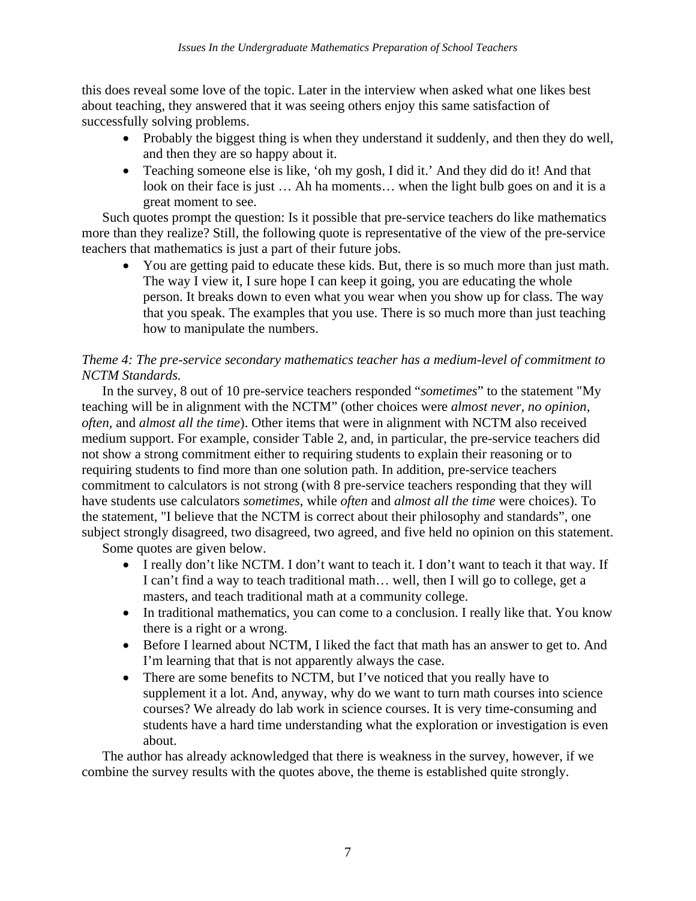this does reveal some love of the topic. Later in the interview when asked what one likes best about teaching, they answered that it was seeing others enjoy this same satisfaction of successfully solving problems.

- Probably the biggest thing is when they understand it suddenly, and then they do well, and then they are so happy about it.
- Teaching someone else is like, 'oh my gosh, I did it.' And they did do it! And that look on their face is just … Ah ha moments… when the light bulb goes on and it is a great moment to see.

Such quotes prompt the question: Is it possible that pre-service teachers do like mathematics more than they realize? Still, the following quote is representative of the view of the pre-service teachers that mathematics is just a part of their future jobs.

• You are getting paid to educate these kids. But, there is so much more than just math. The way I view it, I sure hope I can keep it going, you are educating the whole person. It breaks down to even what you wear when you show up for class. The way that you speak. The examples that you use. There is so much more than just teaching how to manipulate the numbers.

# *Theme 4: The pre-service secondary mathematics teacher has a medium-level of commitment to NCTM Standards.*

In the survey, 8 out of 10 pre-service teachers responded "*sometimes*" to the statement "My teaching will be in alignment with the NCTM" (other choices were *almost never, no opinion, often,* and *almost all the time*). Other items that were in alignment with NCTM also received medium support. For example, consider Table 2, and, in particular, the pre-service teachers did not show a strong commitment either to requiring students to explain their reasoning or to requiring students to find more than one solution path. In addition, pre-service teachers commitment to calculators is not strong (with 8 pre-service teachers responding that they will have students use calculators *sometimes*, while *often* and *almost all the time* were choices). To the statement, "I believe that the NCTM is correct about their philosophy and standards", one subject strongly disagreed, two disagreed, two agreed, and five held no opinion on this statement.

Some quotes are given below.

- I really don't like NCTM. I don't want to teach it. I don't want to teach it that way. If I can't find a way to teach traditional math… well, then I will go to college, get a masters, and teach traditional math at a community college.
- In traditional mathematics, you can come to a conclusion. I really like that. You know there is a right or a wrong.
- Before I learned about NCTM, I liked the fact that math has an answer to get to. And I'm learning that that is not apparently always the case.
- There are some benefits to NCTM, but I've noticed that you really have to supplement it a lot. And, anyway, why do we want to turn math courses into science courses? We already do lab work in science courses. It is very time-consuming and students have a hard time understanding what the exploration or investigation is even about.

The author has already acknowledged that there is weakness in the survey, however, if we combine the survey results with the quotes above, the theme is established quite strongly.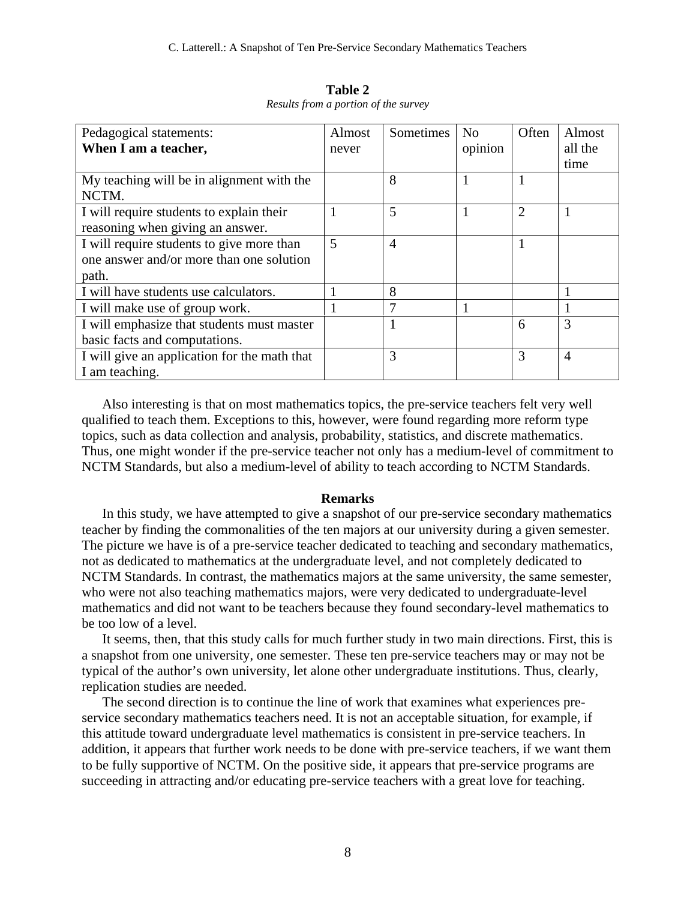| Pedagogical statements:                      | Almost | Sometimes      | N <sub>0</sub> | Often          | Almost         |
|----------------------------------------------|--------|----------------|----------------|----------------|----------------|
| When I am a teacher,                         | never  |                | opinion        |                | all the        |
|                                              |        |                |                |                | time           |
| My teaching will be in alignment with the    |        | 8              |                | 1              |                |
| NCTM.                                        |        |                |                |                |                |
| I will require students to explain their     |        | 5              |                | $\overline{2}$ |                |
| reasoning when giving an answer.             |        |                |                |                |                |
| I will require students to give more than    | 5      | $\overline{A}$ |                |                |                |
| one answer and/or more than one solution     |        |                |                |                |                |
| path.                                        |        |                |                |                |                |
| I will have students use calculators.        |        | 8              |                |                |                |
| I will make use of group work.               | 1      |                |                |                |                |
| I will emphasize that students must master   |        |                |                | 6              | 3              |
| basic facts and computations.                |        |                |                |                |                |
| I will give an application for the math that |        | 3              |                | 3              | $\overline{A}$ |
| I am teaching.                               |        |                |                |                |                |

**Table 2**  *Results from a portion of the survey* 

Also interesting is that on most mathematics topics, the pre-service teachers felt very well qualified to teach them. Exceptions to this, however, were found regarding more reform type topics, such as data collection and analysis, probability, statistics, and discrete mathematics. Thus, one might wonder if the pre-service teacher not only has a medium-level of commitment to NCTM Standards, but also a medium-level of ability to teach according to NCTM Standards.

#### **Remarks**

In this study, we have attempted to give a snapshot of our pre-service secondary mathematics teacher by finding the commonalities of the ten majors at our university during a given semester. The picture we have is of a pre-service teacher dedicated to teaching and secondary mathematics, not as dedicated to mathematics at the undergraduate level, and not completely dedicated to NCTM Standards. In contrast, the mathematics majors at the same university, the same semester, who were not also teaching mathematics majors, were very dedicated to undergraduate-level mathematics and did not want to be teachers because they found secondary-level mathematics to be too low of a level.

It seems, then, that this study calls for much further study in two main directions. First, this is a snapshot from one university, one semester. These ten pre-service teachers may or may not be typical of the author's own university, let alone other undergraduate institutions. Thus, clearly, replication studies are needed.

The second direction is to continue the line of work that examines what experiences preservice secondary mathematics teachers need. It is not an acceptable situation, for example, if this attitude toward undergraduate level mathematics is consistent in pre-service teachers. In addition, it appears that further work needs to be done with pre-service teachers, if we want them to be fully supportive of NCTM. On the positive side, it appears that pre-service programs are succeeding in attracting and/or educating pre-service teachers with a great love for teaching.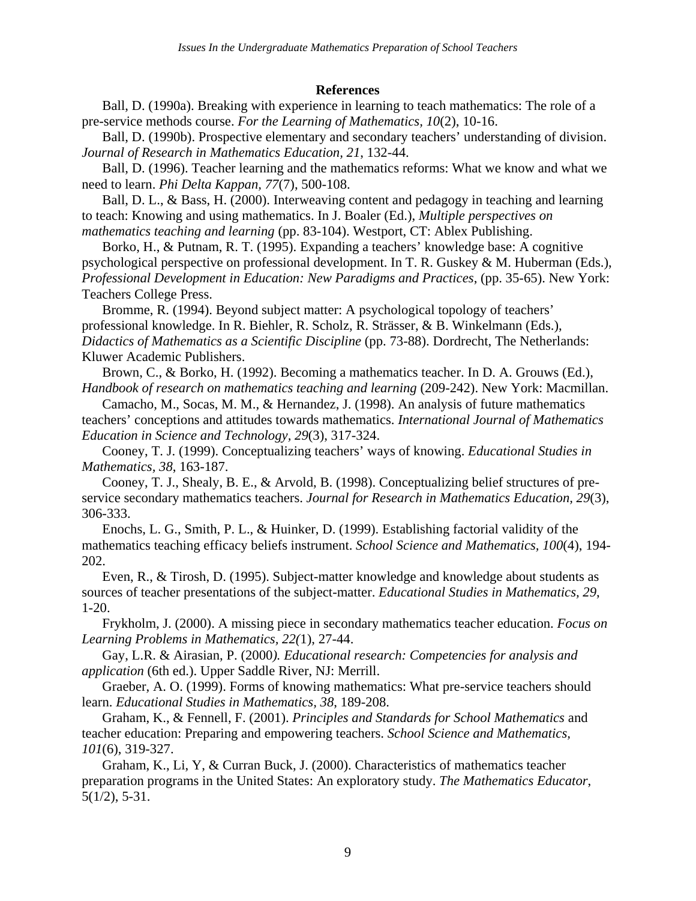### **References**

Ball, D. (1990a). Breaking with experience in learning to teach mathematics: The role of a pre-service methods course. *For the Learning of Mathematics, 10*(2), 10-16.

Ball, D. (1990b). Prospective elementary and secondary teachers' understanding of division. *Journal of Research in Mathematics Education, 21*, 132-44.

Ball, D. (1996). Teacher learning and the mathematics reforms: What we know and what we need to learn. *Phi Delta Kappan, 77*(7), 500-108.

Ball, D. L., & Bass, H. (2000). Interweaving content and pedagogy in teaching and learning to teach: Knowing and using mathematics. In J. Boaler (Ed.), *Multiple perspectives on mathematics teaching and learning* (pp. 83-104). Westport, CT: Ablex Publishing.

Borko, H., & Putnam, R. T. (1995). Expanding a teachers' knowledge base: A cognitive psychological perspective on professional development. In T. R. Guskey & M. Huberman (Eds.), *Professional Development in Education: New Paradigms and Practices*, (pp. 35-65). New York: Teachers College Press.

Bromme, R. (1994). Beyond subject matter: A psychological topology of teachers' professional knowledge. In R. Biehler, R. Scholz, R. Strässer, & B. Winkelmann (Eds.), *Didactics of Mathematics as a Scientific Discipline* (pp. 73-88). Dordrecht, The Netherlands: Kluwer Academic Publishers.

Brown, C., & Borko, H. (1992). Becoming a mathematics teacher. In D. A. Grouws (Ed.), *Handbook of research on mathematics teaching and learning* (209-242). New York: Macmillan.

Camacho, M., Socas, M. M., & Hernandez, J. (1998). An analysis of future mathematics teachers' conceptions and attitudes towards mathematics. *International Journal of Mathematics Education in Science and Technology, 29*(3), 317-324.

Cooney, T. J. (1999). Conceptualizing teachers' ways of knowing. *Educational Studies in Mathematics, 38*, 163-187.

Cooney, T. J., Shealy, B. E., & Arvold, B. (1998). Conceptualizing belief structures of preservice secondary mathematics teachers. *Journal for Research in Mathematics Education, 29*(3), 306-333.

Enochs, L. G., Smith, P. L., & Huinker, D. (1999). Establishing factorial validity of the mathematics teaching efficacy beliefs instrument. *School Science and Mathematics, 100*(4), 194- 202.

Even, R., & Tirosh, D. (1995). Subject-matter knowledge and knowledge about students as sources of teacher presentations of the subject-matter. *Educational Studies in Mathematics, 29*, 1-20.

Frykholm, J. (2000). A missing piece in secondary mathematics teacher education. *Focus on Learning Problems in Mathematics, 22(*1), 27-44.

Gay, L.R. & Airasian, P. (2000*). Educational research: Competencies for analysis and application* (6th ed.). Upper Saddle River, NJ: Merrill.

Graeber, A. O. (1999). Forms of knowing mathematics: What pre-service teachers should learn. *Educational Studies in Mathematics, 38*, 189-208.

Graham, K., & Fennell, F. (2001). *Principles and Standards for School Mathematics* and teacher education: Preparing and empowering teachers. *School Science and Mathematics, 101*(6), 319-327.

Graham, K., Li, Y, & Curran Buck, J. (2000). Characteristics of mathematics teacher preparation programs in the United States: An exploratory study. *The Mathematics Educator*, 5(1/2), 5-31.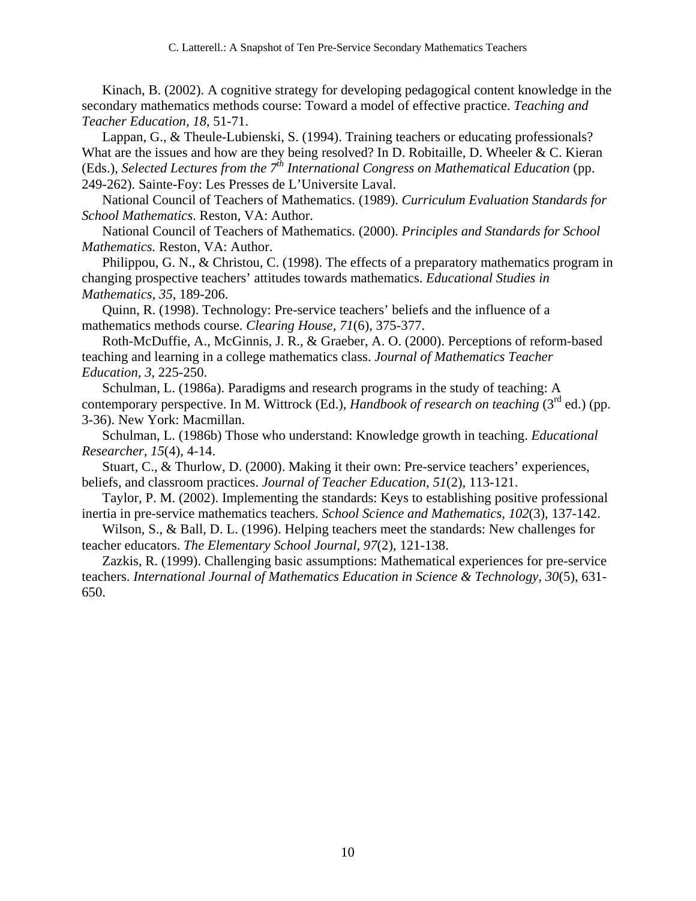Kinach, B. (2002). A cognitive strategy for developing pedagogical content knowledge in the secondary mathematics methods course: Toward a model of effective practice. *Teaching and Teacher Education, 18*, 51-71.

Lappan, G., & Theule-Lubienski, S. (1994). Training teachers or educating professionals? What are the issues and how are they being resolved? In D. Robitaille, D. Wheeler & C. Kieran (Eds.), *Selected Lectures from the 7<sup>th</sup> International Congress on Mathematical Education* (pp. 249-262). Sainte-Foy: Les Presses de L'Universite Laval.

National Council of Teachers of Mathematics. (1989). *Curriculum Evaluation Standards for School Mathematics*. Reston, VA: Author.

National Council of Teachers of Mathematics. (2000). *Principles and Standards for School Mathematics.* Reston, VA: Author.

Philippou, G. N., & Christou, C. (1998). The effects of a preparatory mathematics program in changing prospective teachers' attitudes towards mathematics. *Educational Studies in Mathematics, 35*, 189-206.

Quinn, R. (1998). Technology: Pre-service teachers' beliefs and the influence of a mathematics methods course. *Clearing House, 71*(6), 375-377.

Roth-McDuffie, A., McGinnis, J. R., & Graeber, A. O. (2000). Perceptions of reform-based teaching and learning in a college mathematics class. *Journal of Mathematics Teacher Education, 3*, 225-250.

Schulman, L. (1986a). Paradigms and research programs in the study of teaching: A contemporary perspective. In M. Wittrock (Ed.), *Handbook of research on teaching* (3<sup>rd</sup> ed.) (pp. 3-36). New York: Macmillan.

Schulman, L. (1986b) Those who understand: Knowledge growth in teaching. *Educational Researcher, 15*(4), 4-14.

Stuart, C., & Thurlow, D. (2000). Making it their own: Pre-service teachers' experiences, beliefs, and classroom practices. *Journal of Teacher Education, 51*(2), 113-121.

Taylor, P. M. (2002). Implementing the standards: Keys to establishing positive professional inertia in pre-service mathematics teachers. *School Science and Mathematics, 102*(3), 137-142.

Wilson, S., & Ball, D. L. (1996). Helping teachers meet the standards: New challenges for teacher educators. *The Elementary School Journal, 97*(2), 121-138.

Zazkis, R. (1999). Challenging basic assumptions: Mathematical experiences for pre-service teachers. *International Journal of Mathematics Education in Science & Technology, 30*(5), 631- 650.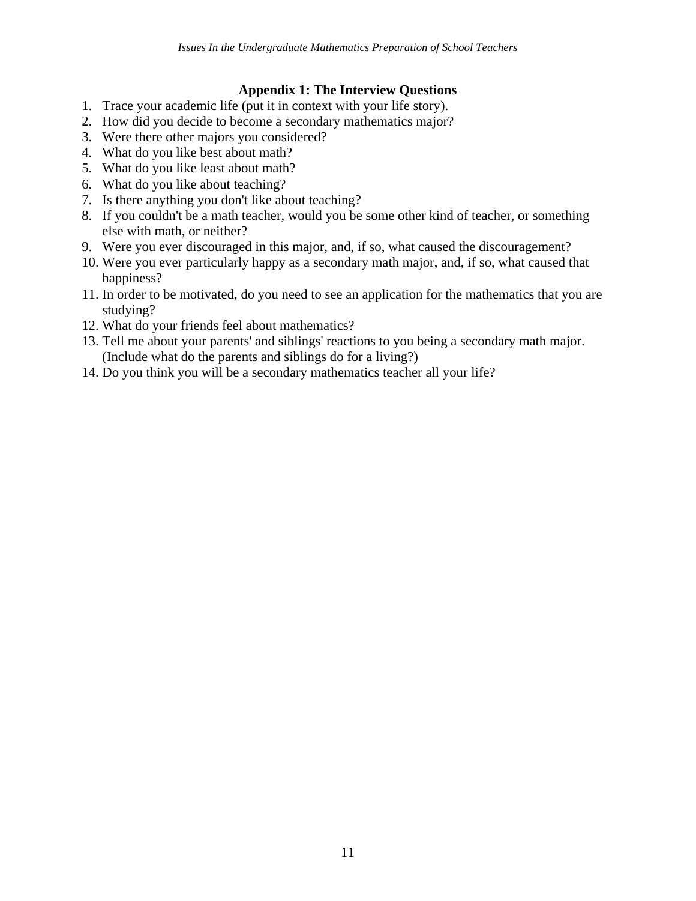## **Appendix 1: The Interview Questions**

- 1. Trace your academic life (put it in context with your life story).
- 2. How did you decide to become a secondary mathematics major?
- 3. Were there other majors you considered?
- 4. What do you like best about math?
- 5. What do you like least about math?
- 6. What do you like about teaching?
- 7. Is there anything you don't like about teaching?
- 8. If you couldn't be a math teacher, would you be some other kind of teacher, or something else with math, or neither?
- 9. Were you ever discouraged in this major, and, if so, what caused the discouragement?
- 10. Were you ever particularly happy as a secondary math major, and, if so, what caused that happiness?
- 11. In order to be motivated, do you need to see an application for the mathematics that you are studying?
- 12. What do your friends feel about mathematics?
- 13. Tell me about your parents' and siblings' reactions to you being a secondary math major. (Include what do the parents and siblings do for a living?)
- 14. Do you think you will be a secondary mathematics teacher all your life?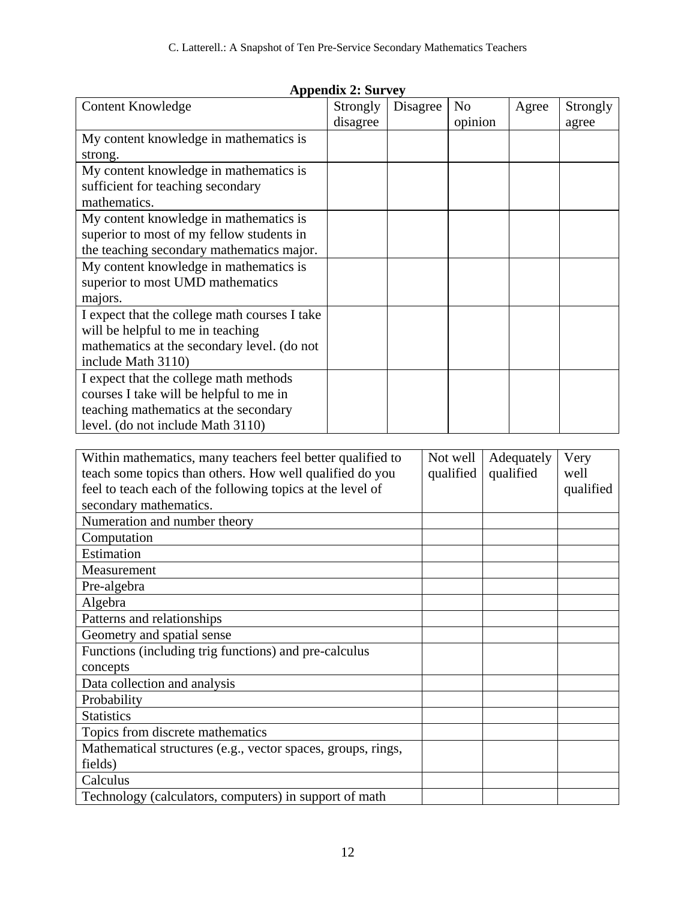| Appendix 2: Survey                                         |          |          |           |                |  |            |           |  |
|------------------------------------------------------------|----------|----------|-----------|----------------|--|------------|-----------|--|
| <b>Content Knowledge</b>                                   | Strongly | Disagree |           | N <sub>o</sub> |  | Agree      | Strongly  |  |
|                                                            | disagree |          |           | opinion        |  |            | agree     |  |
| My content knowledge in mathematics is                     |          |          |           |                |  |            |           |  |
| strong.                                                    |          |          |           |                |  |            |           |  |
| My content knowledge in mathematics is                     |          |          |           |                |  |            |           |  |
| sufficient for teaching secondary                          |          |          |           |                |  |            |           |  |
| mathematics.                                               |          |          |           |                |  |            |           |  |
| My content knowledge in mathematics is                     |          |          |           |                |  |            |           |  |
| superior to most of my fellow students in                  |          |          |           |                |  |            |           |  |
| the teaching secondary mathematics major.                  |          |          |           |                |  |            |           |  |
| My content knowledge in mathematics is                     |          |          |           |                |  |            |           |  |
| superior to most UMD mathematics                           |          |          |           |                |  |            |           |  |
| majors.                                                    |          |          |           |                |  |            |           |  |
| I expect that the college math courses I take              |          |          |           |                |  |            |           |  |
| will be helpful to me in teaching                          |          |          |           |                |  |            |           |  |
| mathematics at the secondary level. (do not                |          |          |           |                |  |            |           |  |
| include Math 3110)                                         |          |          |           |                |  |            |           |  |
| I expect that the college math methods                     |          |          |           |                |  |            |           |  |
| courses I take will be helpful to me in                    |          |          |           |                |  |            |           |  |
| teaching mathematics at the secondary                      |          |          |           |                |  |            |           |  |
| level. (do not include Math 3110)                          |          |          |           |                |  |            |           |  |
|                                                            |          |          |           |                |  |            |           |  |
| Within mathematics, many teachers feel better qualified to |          |          |           | Not well       |  | Adequately | Very      |  |
| teach some topics than others. How well qualified do you   |          |          | qualified |                |  | qualified  | well      |  |
| feel to teach each of the following topics at the level of |          |          |           |                |  |            | qualified |  |
| secondary mathematics.                                     |          |          |           |                |  |            |           |  |
| Numeration and number theory                               |          |          |           |                |  |            |           |  |
| Computation                                                |          |          |           |                |  |            |           |  |
| Estimation                                                 |          |          |           |                |  |            |           |  |
| Measurement                                                |          |          |           |                |  |            |           |  |
| Pre-algebra                                                |          |          |           |                |  |            |           |  |
| Algebra                                                    |          |          |           |                |  |            |           |  |
| Patterns and relationships                                 |          |          |           |                |  |            |           |  |
| Geometry and spatial sense                                 |          |          |           |                |  |            |           |  |
| Functions (including trig functions) and pre-calculus      |          |          |           |                |  |            |           |  |
| concepts                                                   |          |          |           |                |  |            |           |  |
| Data collection and analysis                               |          |          |           |                |  |            |           |  |
| Probability                                                |          |          |           |                |  |            |           |  |
| <b>Statistics</b>                                          |          |          |           |                |  |            |           |  |
| Tonics from discrete mathematics                           |          |          |           |                |  |            |           |  |

# $A$ ppendix  $2.8$

| WRITH Hathematics, many teachers feel better qualified to<br>teach some topics than others. How well qualified do you<br>feel to teach each of the following topics at the level of | <b>INOL WEIL</b><br>qualified | Aucqualciy<br>qualified | V CL V<br>well<br>qualified |
|-------------------------------------------------------------------------------------------------------------------------------------------------------------------------------------|-------------------------------|-------------------------|-----------------------------|
| secondary mathematics.                                                                                                                                                              |                               |                         |                             |
| Numeration and number theory                                                                                                                                                        |                               |                         |                             |
| Computation                                                                                                                                                                         |                               |                         |                             |
| Estimation                                                                                                                                                                          |                               |                         |                             |
| Measurement                                                                                                                                                                         |                               |                         |                             |
| Pre-algebra                                                                                                                                                                         |                               |                         |                             |
| Algebra                                                                                                                                                                             |                               |                         |                             |
| Patterns and relationships                                                                                                                                                          |                               |                         |                             |
| Geometry and spatial sense                                                                                                                                                          |                               |                         |                             |
| Functions (including trig functions) and pre-calculus                                                                                                                               |                               |                         |                             |
| concepts                                                                                                                                                                            |                               |                         |                             |
| Data collection and analysis                                                                                                                                                        |                               |                         |                             |
| Probability                                                                                                                                                                         |                               |                         |                             |
| <b>Statistics</b>                                                                                                                                                                   |                               |                         |                             |
| Topics from discrete mathematics                                                                                                                                                    |                               |                         |                             |
| Mathematical structures (e.g., vector spaces, groups, rings,                                                                                                                        |                               |                         |                             |
| fields)                                                                                                                                                                             |                               |                         |                             |
| Calculus                                                                                                                                                                            |                               |                         |                             |
| Technology (calculators, computers) in support of math                                                                                                                              |                               |                         |                             |
|                                                                                                                                                                                     |                               |                         |                             |